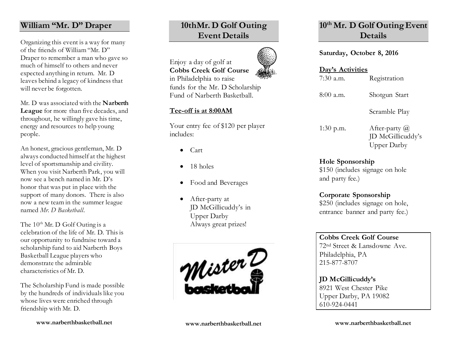### **William "Mr. D" Draper**

Organizing this event is a way for many of the friend s of William "Mr. D" Draper to remember a man who gave so much of himself to others and never expected anything in return. Mr. D leaves behind a legacy of kindness that will never be forgotten.

Mr. D was associated with the **Narberth League** for more than five decades, and throughout, he willingly gave his time, energy and resources to help young people.

An honest, gracious gentleman, Mr. D always conducted himself at the highest level of sportsmanship and civility. When you visit Narberth Park , you wil l now see a bench named in Mr. D's honor that was put in place with the support of many donors. There is also now a new team in the summer league named *Mr. D Basketball*.

The  $10^{th}$  Mr. D Golf Outing is a celebration of the life of Mr. D. This is our opportunity to fundraise toward a scholarship fund to aid Narberth Boys Basketball League players who demonstrate the admirable characteristics of Mr. D.

The Scholarship Fund is made possible by the hundreds of individuals like you whose lives were enriched through friendship with Mr. D .

# **10thMr. D Golf Outing Event Details**

Enjoy a day of golf at **Cobbs Creek Golf Course** in Philadelphia to raise funds for the Mr. D Scholarship Fund of Narberth Basketball.

#### **Tee -off is at 8:00AM**

Your entry fee of \$1 20 per player includes:

- Cart
- 18 holes
- Food and Beverages
- After-party at JD McGillicuddy's in Upper Darby Always great prizes!



### **10th Mr. D Golf Outing Event Details**

#### **Saturday, October 8, 2016**

#### **Day's Activities**

 $7:30$  a.m.

 $8:00$  a.m.

Shotgun Start

Registration

Scramble Play

1:3 0 p.m. After

After-party  $\omega$ JD McGillicuddy's Upper Darby

#### **Hole Sponsorship**

\$1 5 0 (includes signage on hole and party fee.)

#### **Corporate Sponsorship**

\$250 (includes signage on hole , entrance banner and party fee. )

#### **Cobbs Creek Golf Course**

72nd Street & Lansdowne Ave. Philadelphia, PA 215 -877 -8707

**JD McGillicuddy's** 8921 West Chester Pike Upper Darby, PA 19082 610 -924 -0441

**www.narberthbasketball.net**